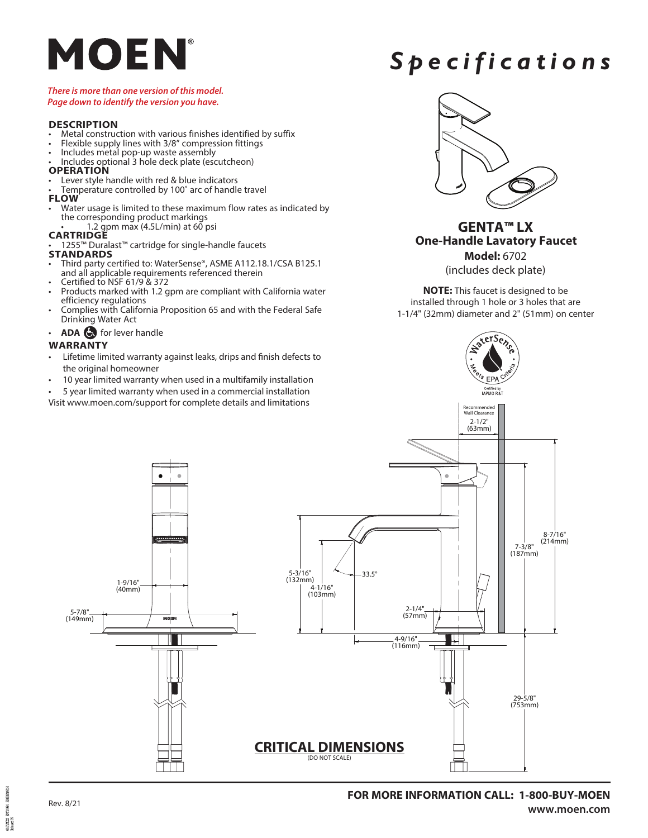# MOEN

#### *There is more than one version of this model. Page down to identify the version you have.*

- **DESCRIPTION**<br>• Metal construction with various finishes identified by suffix
- Flexible supply lines with 3/8" compression fittings Includes metal pop-up waste assembly Includes optional 3 hole deck plate (escutcheon)
- 
- 
- **OPERATION**<br>• Lever style handle with red & blue indicators
- Temperature controlled by 100° arc of handle travel
- **FLOW**
- Water usage is limited to these maximum flow rates as indicated by the corresponding product markings • 1.2 gpm max (4.5L/min) at 60 psi
- **CARTRIDGE**
- 1255™ Duralast™ cartridge for single-handle faucets

### **STANDARDS**

- Third party certified to: WaterSense®, ASME A112.18.1/CSA B125.1<br>and all applicable requirements referenced therein
- 
- Certified to NSF 61/9 & 372<br>Products marked with 1.2 gpm are compliant with California water<br>efficiency regulations
- Complies with California Proposition 65 and with the Federal Safe Drinking Water Act
- **ADA** for lever handle

## **WARRANTY**

- Lifetime limited warranty against leaks, drips and finish defects to the original homeowner
- 10 year limited warranty when used in a multifamily installation
- 5 year limited warranty when used in a commercial installation
- Visit www.moen.com/support for complete details and limitations



*Spec i f i c a tions*

# **GENTA™ LX One-Handle Lavatory Faucet Model:** 6702

(includes deck plate)

**NOTE:** This faucet is designed to be in stalled through 1 hole or 3 holes that are 1-1/4" (32mm) diameter and 2" (51mm) on center



pangrummer<br>Referand 105